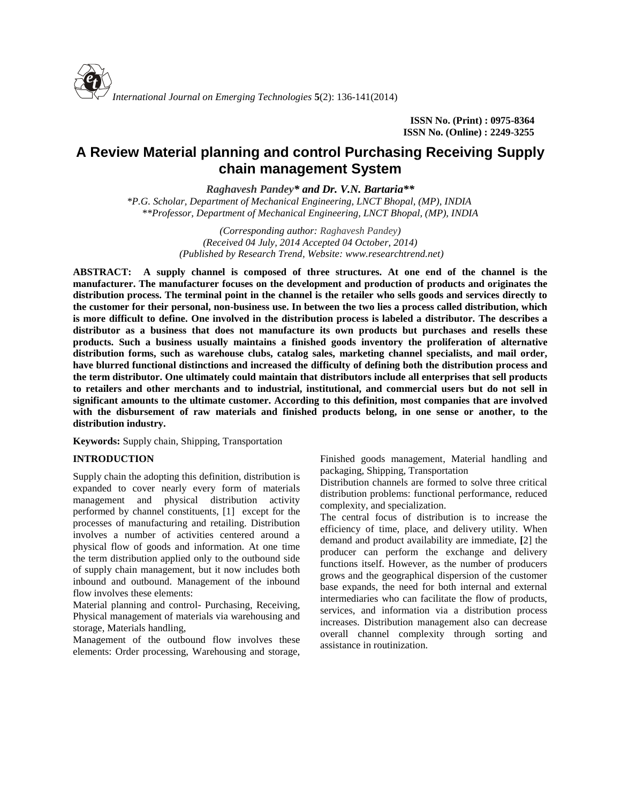**ISSN No. (Print) : 0975-8364 ISSN No. (Online) : 2249-3255**

# **A Review Material planning and control Purchasing Receiving Supply chain management System**

*Raghavesh Pandey\* and Dr. V.N. Bartaria\*\**

*\*P.G. Scholar, Department of Mechanical Engineering, LNCT Bhopal, (MP), INDIA \*\*Professor, Department of Mechanical Engineering, LNCT Bhopal, (MP), INDIA*

> *(Corresponding author: Raghavesh Pandey) (Received 04 July, 2014 Accepted 04 October, 2014) (Published by Research Trend, Website: <www.researchtrend.net>)*

**ABSTRACT: A supply channel is composed of three structures. At one end of the channel is the manufacturer. The manufacturer focuses on the development and production of products and originates the distribution process. The terminal point in the channel is the retailer who sells goods and services directly to the customer for their personal, non-business use. In between the two lies a process called distribution, which is more difficult to define. One involved in the distribution process is labeled a distributor. The describes a distributor as a business that does not manufacture its own products but purchases and resells these products. Such a business usually maintains a finished goods inventory the proliferation of alternative distribution forms, such as warehouse clubs, catalog sales, marketing channel specialists, and mail order, have blurred functional distinctions and increased the difficulty of defining both the distribution process and the term distributor. One ultimately could maintain that distributors include all enterprises that sell products to retailers and other merchants and to industrial, institutional, and commercial users but do not sell in significant amounts to the ultimate customer. According to this definition, most companies that are involved with the disbursement of raw materials and finished products belong, in one sense or another, to the distribution industry.**

**Keywords:** Supply chain, Shipping, Transportation

## **INTRODUCTION**

Supply chain the adopting this definition, distribution is expanded to cover nearly every form of materials management and physical distribution activity performed by channel constituents, [1] except for the processes of manufacturing and retailing. Distribution involves a number of activities centered around a physical flow of goods and information. At one time the term distribution applied only to the outbound side of supply chain management, but it now includes both inbound and outbound. Management of the inbound flow involves these elements:

Material planning and control- Purchasing, Receiving, Physical management of materials via warehousing and storage, Materials handling,

Management of the outbound flow involves these elements: Order processing, Warehousing and storage, Finished goods management, Material handling and packaging, Shipping, Transportation

Distribution channels are formed to solve three critical distribution problems: functional performance, reduced complexity, and specialization.

The central focus of distribution is to increase the efficiency of time, place, and delivery utility. When demand and product availability are immediate, **[**2] the producer can perform the exchange and delivery functions itself. However, as the number of producers grows and the geographical dispersion of the customer base expands, the need for both internal and external intermediaries who can facilitate the flow of products, services, and information via a distribution process increases. Distribution management also can decrease overall channel complexity through sorting and assistance in routinization.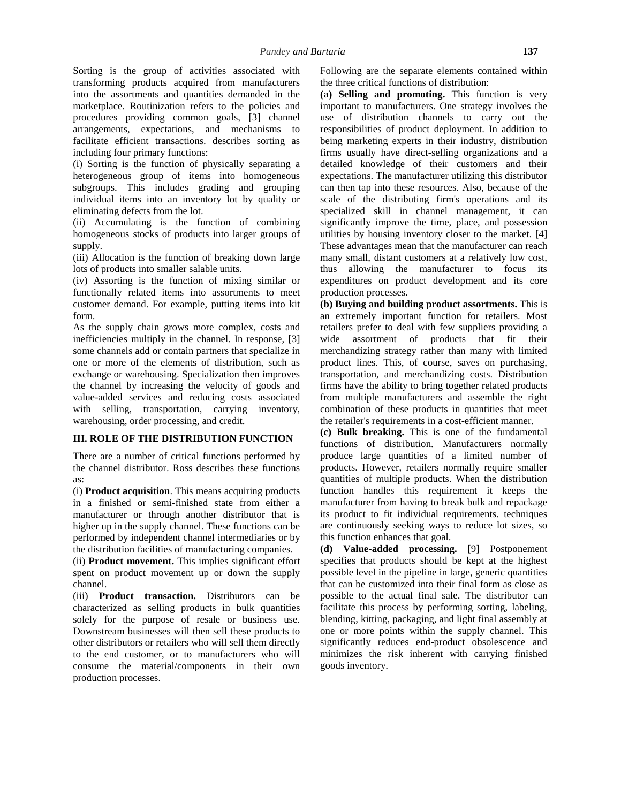Sorting is the group of activities associated with transforming products acquired from manufacturers into the assortments and quantities demanded in the marketplace. Routinization refers to the policies and procedures providing common goals, [3] channel arrangements, expectations, and mechanisms to facilitate efficient transactions. describes sorting as including four primary functions:

(i) Sorting is the function of physically separating a heterogeneous group of items into homogeneous subgroups. This includes grading and grouping individual items into an inventory lot by quality or eliminating defects from the lot.

(ii) Accumulating is the function of combining homogeneous stocks of products into larger groups of supply.

(iii) Allocation is the function of breaking down large lots of products into smaller salable units.

(iv) Assorting is the function of mixing similar or functionally related items into assortments to meet customer demand. For example, putting items into kit form.

As the supply chain grows more complex, costs and inefficiencies multiply in the channel. In response, [3] wide some channels add or contain partners that specialize in one or more of the elements of distribution, such as exchange or warehousing. Specialization then improves the channel by increasing the velocity of goods and value-added services and reducing costs associated with selling, transportation, carrying inventory, warehousing, order processing, and credit.

## **III. ROLE OF THE DISTRIBUTION FUNCTION**

There are a number of critical functions performed by the channel distributor. Ross describes these functions as:

(i) **Product acquisition**. This means acquiring products in a finished or semi-finished state from either a manufacturer or through another distributor that is higher up in the supply channel. These functions can be performed by independent channel intermediaries or by the distribution facilities of manufacturing companies.

(ii) **Product movement.** This implies significant effort spent on product movement up or down the supply channel.

(iii) **Product transaction.** Distributors can be characterized as selling products in bulk quantities solely for the purpose of resale or business use. Downstream businesses will then sell these products to other distributors or retailers who will sell them directly to the end customer, or to manufacturers who will consume the material/components in their own production processes.

Following are the separate elements contained within the three critical functions of distribution:

**(a) Selling and promoting.** This function is very important to manufacturers. One strategy involves the use of distribution channels to carry out the responsibilities of product deployment. In addition to being marketing experts in their industry, distribution firms usually have direct-selling organizations and a detailed knowledge of their customers and their expectations. The manufacturer utilizing this distributor can then tap into these resources. Also, because of the scale of the distributing firm's operations and its specialized skill in channel management, it can significantly improve the time, place, and possession utilities by housing inventory closer to the market. [4] These advantages mean that the manufacturer can reach many small, distant customers at a relatively low cost, thus allowing the manufacturer to focus its expenditures on product development and its core production processes.

**(b) Buying and building product assortments.** This is an extremely important function for retailers. Most retailers prefer to deal with few suppliers providing a assortment of products that fit their merchandizing strategy rather than many with limited product lines. This, of course, saves on purchasing, transportation, and merchandizing costs. Distribution firms have the ability to bring together related products from multiple manufacturers and assemble the right combination of these products in quantities that meet the retailer's requirements in a cost-efficient manner.

**(c) Bulk breaking.** This is one of the fundamental functions of distribution. Manufacturers normally produce large quantities of a limited number of products. However, retailers normally require smaller quantities of multiple products. When the distribution function handles this requirement it keeps the manufacturer from having to break bulk and repackage its product to fit individual requirements. techniques are continuously seeking ways to reduce lot sizes, so this function enhances that goal.

**(d) Value-added processing.** [9] Postponement specifies that products should be kept at the highest possible level in the pipeline in large, generic quantities that can be customized into their final form as close as possible to the actual final sale. The distributor can facilitate this process by performing sorting, labeling, blending, kitting, packaging, and light final assembly at one or more points within the supply channel. This significantly reduces end-product obsolescence and minimizes the risk inherent with carrying finished goods inventory.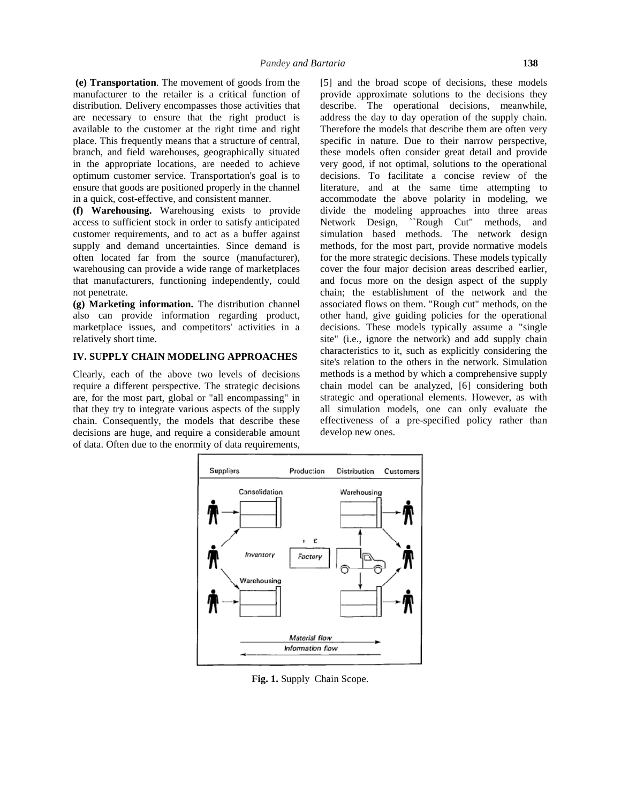**(e) Transportation**. The movement of goods from the manufacturer to the retailer is a critical function of distribution. Delivery encompasses those activities that are necessary to ensure that the right product is available to the customer at the right time and right place. This frequently means that a structure of central, branch, and field warehouses, geographically situated in the appropriate locations, are needed to achieve optimum customer service. Transportation's goal is to ensure that goods are positioned properly in the channel in a quick, cost-effective, and consistent manner.

**(f) Warehousing.** Warehousing exists to provide access to sufficient stock in order to satisfy anticipated Network Design, customer requirements, and to act as a buffer against supply and demand uncertainties. Since demand is often located far from the source (manufacturer), warehousing can provide a wide range of marketplaces that manufacturers, functioning independently, could not penetrate.

**(g) Marketing information.** The distribution channel also can provide information regarding product, marketplace issues, and competitors' activities in a relatively short time.

## **IV. SUPPLY CHAIN MODELING APPROACHES**

Clearly, each of the above two levels of decisions require a different perspective. The strategic decisions are, for the most part, global or "all encompassing" in that they try to integrate various aspects of the supply chain. Consequently, the models that describe these decisions are huge, and require a considerable amount of data. Often due to the enormity of data requirements,

[5] and the broad scope of decisions, these models provide approximate solutions to the decisions they describe. The operational decisions, meanwhile, address the day to day operation of the supply chain. Therefore the models that describe them are often very specific in nature. Due to their narrow perspective, these models often consider great detail and provide very good, if not optimal, solutions to the operational decisions. To facilitate a concise review of the literature, and at the same time attempting to accommodate the above polarity in modeling, we divide the modeling approaches into three areas ``Rough Cut" methods, and simulation based methods. The network design methods, for the most part, provide normative models for the more strategic decisions. These models typically cover the four major decision areas described earlier, and focus more on the design aspect of the supply chain; the establishment of the network and the associated flows on them. "Rough cut" methods, on the other hand, give guiding policies for the operational decisions. These models typically assume a "single site" (i.e., ignore the network) and add supply chain characteristics to it, such as explicitly considering the site's relation to the others in the network. Simulation methods is a method by which a comprehensive supply chain model can be analyzed, [6] considering both strategic and operational elements. However, as with all simulation models, one can only evaluate the effectiveness of a pre-specified policy rather than develop new ones.



**Fig. 1.** Supply Chain Scope.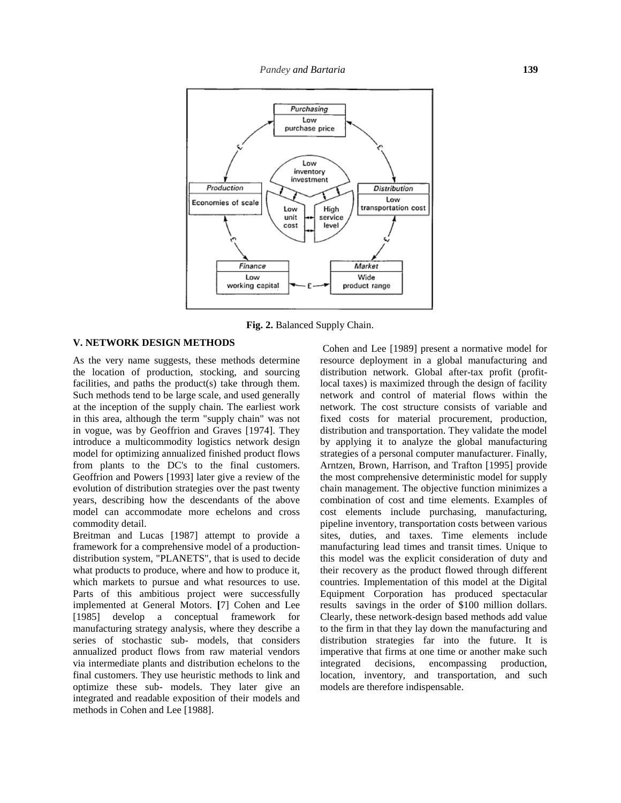

**Fig. 2.** Balanced Supply Chain.

#### **V. NETWORK DESIGN METHODS**

As the very name suggests, these methods determine the location of production, stocking, and sourcing facilities, and paths the product(s) take through them. Such methods tend to be large scale, and used generally at the inception of the supply chain. The earliest work in this area, although the term "supply chain" was not in vogue, was by Geoffrion and Graves [1974]. They introduce a multicommodity logistics network design model for optimizing annualized finished product flows from plants to the DC's to the final customers. Geoffrion and Powers [1993] later give a review of the evolution of distribution strategies over the past twenty years, describing how the descendants of the above model can accommodate more echelons and cross commodity detail.

Breitman and Lucas [1987] attempt to provide a framework for a comprehensive model of a production distribution system, "PLANETS", that is used to decide what products to produce, where and how to produce it, which markets to pursue and what resources to use. Parts of this ambitious project were successfully implemented at General Motors. **[**7] Cohen and Lee [1985] develop a conceptual framework for manufacturing strategy analysis, where they describe a series of stochastic sub- models, that considers annualized product flows from raw material vendors via intermediate plants and distribution echelons to the final customers. They use heuristic methods to link and optimize these sub- models. They later give an integrated and readable exposition of their models and methods in Cohen and Lee [1988].

Cohen and Lee [1989] present a normative model for resource deployment in a global manufacturing and distribution network. Global after-tax profit (profitlocal taxes) is maximized through the design of facility network and control of material flows within the network. The cost structure consists of variable and fixed costs for material procurement, production, distribution and transportation. They validate the model by applying it to analyze the global manufacturing strategies of a personal computer manufacturer. Finally, Arntzen, Brown, Harrison, and Trafton [1995] provide the most comprehensive deterministic model for supply chain management. The objective function minimizes a combination of cost and time elements. Examples of cost elements include purchasing, manufacturing, pipeline inventory, transportation costs between various sites, duties, and taxes. Time elements include manufacturing lead times and transit times. Unique to this model was the explicit consideration of duty and their recovery as the product flowed through different countries. Implementation of this model at the Digital Equipment Corporation has produced spectacular results savings in the order of \$100 million dollars. Clearly, these network-design based methods add value to the firm in that they lay down the manufacturing and distribution strategies far into the future. It is imperative that firms at one time or another make such decisions, encompassing production, location, inventory, and transportation, and such models are therefore indispensable.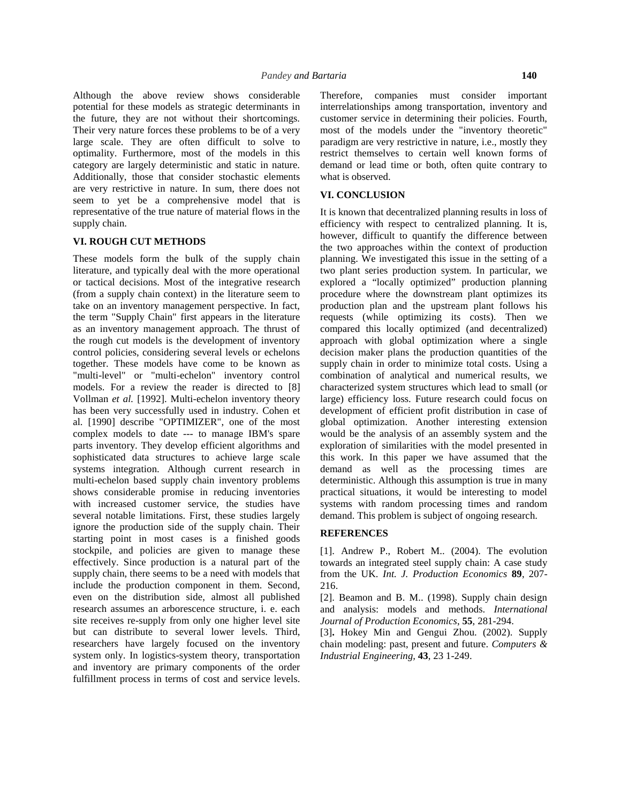Although the above review shows considerable potential for these models as strategic determinants in the future, they are not without their shortcomings. Their very nature forces these problems to be of a very large scale. They are often difficult to solve to optimality. Furthermore, most of the models in this category are largely deterministic and static in nature. Additionally, those that consider stochastic elements are very restrictive in nature. In sum, there does not seem to yet be a comprehensive model that is representative of the true nature of material flows in the supply chain.

## **VI. ROUGH CUT METHODS**

These models form the bulk of the supply chain literature, and typically deal with the more operational or tactical decisions. Most of the integrative research (from a supply chain context) in the literature seem to take on an inventory management perspective. In fact, the term "Supply Chain" first appears in the literature as an inventory management approach. The thrust of the rough cut models is the development of inventory control policies, considering several levels or echelons together. These models have come to be known as "multi-level" or "multi-echelon" inventory control models. For a review the reader is directed to [8] Vollman *et al.* [1992]. Multi-echelon inventory theory has been very successfully used in industry. Cohen et al. [1990] describe "OPTIMIZER", one of the most complex models to date --- to manage IBM's spare parts inventory. They develop efficient algorithms and sophisticated data structures to achieve large scale systems integration. Although current research in multi-echelon based supply chain inventory problems shows considerable promise in reducing inventories with increased customer service, the studies have several notable limitations. First, these studies largely ignore the production side of the supply chain. Their starting point in most cases is a finished goods stockpile, and policies are given to manage these effectively. Since production is a natural part of the supply chain, there seems to be a need with models that include the production component in them. Second, even on the distribution side, almost all published research assumes an arborescence structure, i. e. each site receives re-supply from only one higher level site but can distribute to several lower levels. Third, researchers have largely focused on the inventory system only. In logistics-system theory, transportation and inventory are primary components of the order fulfillment process in terms of cost and service levels. Therefore, companies must consider important interrelationships among transportation, inventory and customer service in determining their policies. Fourth, most of the models under the "inventory theoretic" paradigm are very restrictive in nature, i.e., mostly they restrict themselves to certain well known forms of

demand or lead time or both, often quite contrary to

#### **VI. CONCLUSION**

what is observed.

It is known that decentralized planning results in loss of efficiency with respect to centralized planning. It is, however, difficult to quantify the difference between the two approaches within the context of production planning. We investigated this issue in the setting of a two plant series production system. In particular, we explored a "locally optimized" production planning procedure where the downstream plant optimizes its production plan and the upstream plant follows his requests (while optimizing its costs). Then we compared this locally optimized (and decentralized) approach with global optimization where a single decision maker plans the production quantities of the supply chain in order to minimize total costs. Using a combination of analytical and numerical results, we characterized system structures which lead to small (or large) efficiency loss. Future research could focus on development of efficient profit distribution in case of global optimization. Another interesting extension would be the analysis of an assembly system and the exploration of similarities with the model presented in this work. In this paper we have assumed that the demand as well as the processing times are deterministic. Although this assumption is true in many practical situations, it would be interesting to model systems with random processing times and random demand. This problem is subject of ongoing research.

### **REFERENCES**

[1]. Andrew P., Robert M.. (2004). The evolution towards an integrated steel supply chain: A case study from the UK. *Int. J. Production Economics* **89**, 207- 216.

[2]. Beamon and B. M.. (1998). Supply chain design and analysis: models and methods. *International Journal of Production Economics*, **55**, 281-294.

[3]**.** Hokey Min and Gengui Zhou. (2002). Supply chain modeling: past, present and future. *Computers & Industrial Engineering,* **43**, 23 1-249.